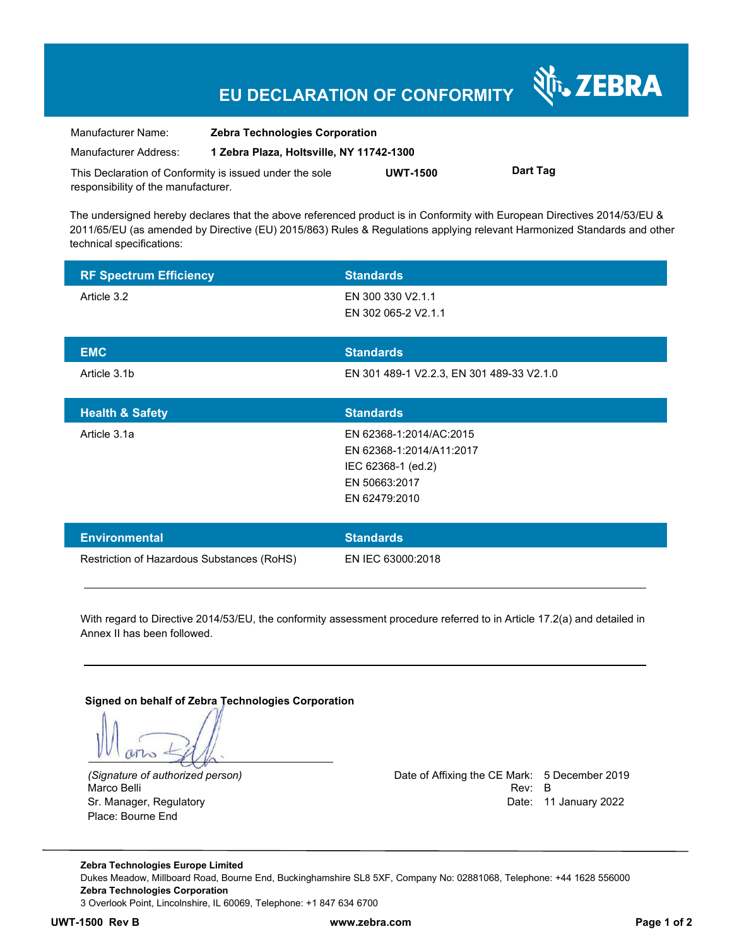# **EU DECLARATION OF CONFORMITY**

| Manufacturer Name:                                      | <b>Zebra Technologies Corporation</b>    |                 |          |
|---------------------------------------------------------|------------------------------------------|-----------------|----------|
| Manufacturer Address:                                   | 1 Zebra Plaza, Holtsville, NY 11742-1300 |                 |          |
| This Declaration of Conformity is issued under the sole |                                          | <b>UWT-1500</b> | Dart Tag |

The undersigned hereby declares that the above referenced product is in Conformity with European Directives 2014/53/EU & 2011/65/EU (as amended by Directive (EU) 2015/863) Rules & Regulations applying relevant Harmonized Standards and other technical specifications:

| <b>RF Spectrum Efficiency</b>              | <b>Standards</b>                                                                                            |
|--------------------------------------------|-------------------------------------------------------------------------------------------------------------|
| Article 3.2                                | EN 300 330 V2.1.1<br>EN 302 065-2 V2.1.1                                                                    |
| <b>EMC</b>                                 | <b>Standards</b>                                                                                            |
| Article 3.1b                               | EN 301 489-1 V2.2.3, EN 301 489-33 V2.1.0                                                                   |
| <b>Health &amp; Safety</b>                 | <b>Standards</b>                                                                                            |
| Article 3.1a                               | EN 62368-1:2014/AC:2015<br>EN 62368-1:2014/A11:2017<br>IEC 62368-1 (ed.2)<br>EN 50663:2017<br>EN 62479:2010 |
| <b>Environmental</b>                       | <b>Standards</b>                                                                                            |
| Restriction of Hazardous Substances (RoHS) | EN IEC 63000:2018                                                                                           |

With regard to Directive 2014/53/EU, the conformity assessment procedure referred to in Article 17.2(a) and detailed in Annex II has been followed.

**Signed on behalf of Zebra Technologies Corporation** 

 $MT_{2}$ 

Sr. Manager, Regulatory Date: 11 January 2022 Place: Bourne End

responsibility of the manufacturer.

*(Signature of authorized person)* Date of Affixing the CE Mark: 5 December 2019 Marco Belli Rev: B

N<sub>i</sub>, ZEBRA

**Zebra Technologies Europe Limited**  Dukes Meadow, Millboard Road, Bourne End, Buckinghamshire SL8 5XF, Company No: 02881068, Telephone: +44 1628 556000 **Zebra Technologies Corporation**  3 Overlook Point, Lincolnshire, IL 60069, Telephone: +1 847 634 6700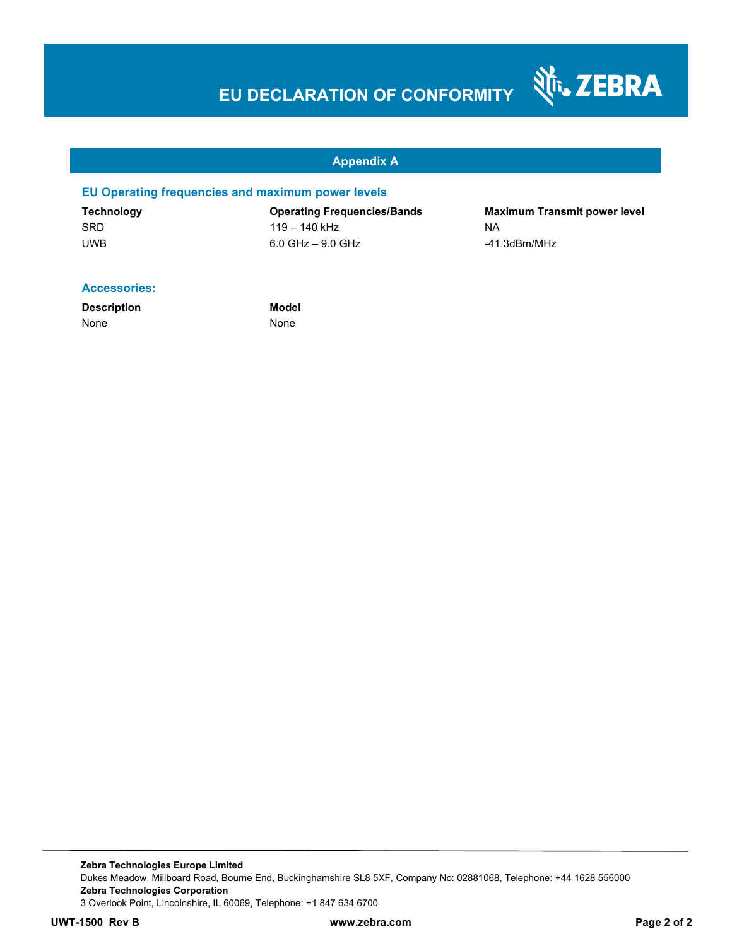# **EU DECLARATION OF CONFORMITY**

#### **Appendix A**

#### **EU Operating frequencies and maximum power levels**

SRD 119 – 140 kHz NA UWB 6.0 GHz – 9.0 GHz -41.3dBm/MHz

**Technology Operating Frequencies/Bands Maximum Transmit power level** 

Nr. ZEBRA

#### **Accessories:**

**Description Model** None None

**Zebra Technologies Europe Limited**  Dukes Meadow, Millboard Road, Bourne End, Buckinghamshire SL8 5XF, Company No: 02881068, Telephone: +44 1628 556000 **Zebra Technologies Corporation**  3 Overlook Point, Lincolnshire, IL 60069, Telephone: +1 847 634 6700